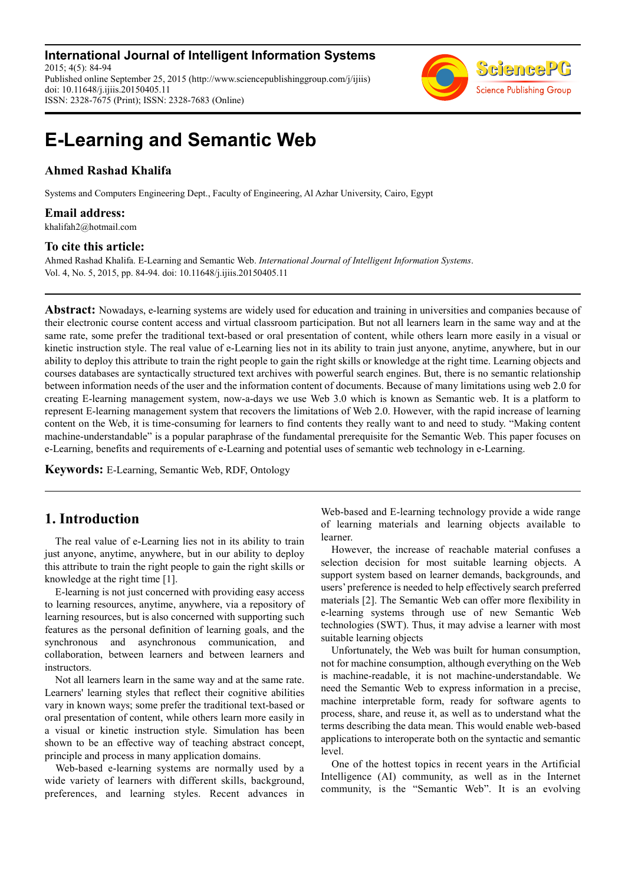**International Journal of Intelligent Information Systems** 2015; 4(5): 84-94 Published online September 25, 2015 (http://www.sciencepublishinggroup.com/j/ijiis) doi: 10.11648/j.ijiis.20150405.11 ISSN: 2328-7675 (Print); ISSN: 2328-7683 (Online)



# **E-Learning and Semantic Web**

### **Ahmed Rashad Khalifa**

Systems and Computers Engineering Dept., Faculty of Engineering, Al Azhar University, Cairo, Egypt

### **Email address:**

khalifah2@hotmail.com

#### **To cite this article:**

Ahmed Rashad Khalifa. E-Learning and Semantic Web. *International Journal of Intelligent Information Systems*. Vol. 4, No. 5, 2015, pp. 84-94. doi: 10.11648/j.ijiis.20150405.11

**Abstract:** Nowadays, e-learning systems are widely used for education and training in universities and companies because of their electronic course content access and virtual classroom participation. But not all learners learn in the same way and at the same rate, some prefer the traditional text-based or oral presentation of content, while others learn more easily in a visual or kinetic instruction style. The real value of e-Learning lies not in its ability to train just anyone, anytime, anywhere, but in our ability to deploy this attribute to train the right people to gain the right skills or knowledge at the right time. Learning objects and courses databases are syntactically structured text archives with powerful search engines. But, there is no semantic relationship between information needs of the user and the information content of documents. Because of many limitations using web 2.0 for creating E-learning management system, now-a-days we use Web 3.0 which is known as Semantic web. It is a platform to represent E-learning management system that recovers the limitations of Web 2.0. However, with the rapid increase of learning content on the Web, it is time-consuming for learners to find contents they really want to and need to study. "Making content machine-understandable" is a popular paraphrase of the fundamental prerequisite for the Semantic Web. This paper focuses on e-Learning, benefits and requirements of e-Learning and potential uses of semantic web technology in e-Learning.

**Keywords:** E-Learning, Semantic Web, RDF, Ontology

# **1. Introduction**

The real value of e-Learning lies not in its ability to train just anyone, anytime, anywhere, but in our ability to deploy this attribute to train the right people to gain the right skills or knowledge at the right time [1].

E-learning is not just concerned with providing easy access to learning resources, anytime, anywhere, via a repository of learning resources, but is also concerned with supporting such features as the personal definition of learning goals, and the synchronous and asynchronous communication, and collaboration, between learners and between learners and instructors.

Not all learners learn in the same way and at the same rate. Learners' learning styles that reflect their cognitive abilities vary in known ways; some prefer the traditional text-based or oral presentation of content, while others learn more easily in a visual or kinetic instruction style. Simulation has been shown to be an effective way of teaching abstract concept, principle and process in many application domains.

Web-based e-learning systems are normally used by a wide variety of learners with different skills, background, preferences, and learning styles. Recent advances in Web-based and E-learning technology provide a wide range of learning materials and learning objects available to learner.

However, the increase of reachable material confuses a selection decision for most suitable learning objects. A support system based on learner demands, backgrounds, and users' preference is needed to help effectively search preferred materials [2]. The Semantic Web can offer more flexibility in e-learning systems through use of new Semantic Web technologies (SWT). Thus, it may advise a learner with most suitable learning objects

Unfortunately, the Web was built for human consumption, not for machine consumption, although everything on the Web is machine-readable, it is not machine-understandable. We need the Semantic Web to express information in a precise, machine interpretable form, ready for software agents to process, share, and reuse it, as well as to understand what the terms describing the data mean. This would enable web-based applications to interoperate both on the syntactic and semantic level.

One of the hottest topics in recent years in the Artificial Intelligence (AI) community, as well as in the Internet community, is the "Semantic Web". It is an evolving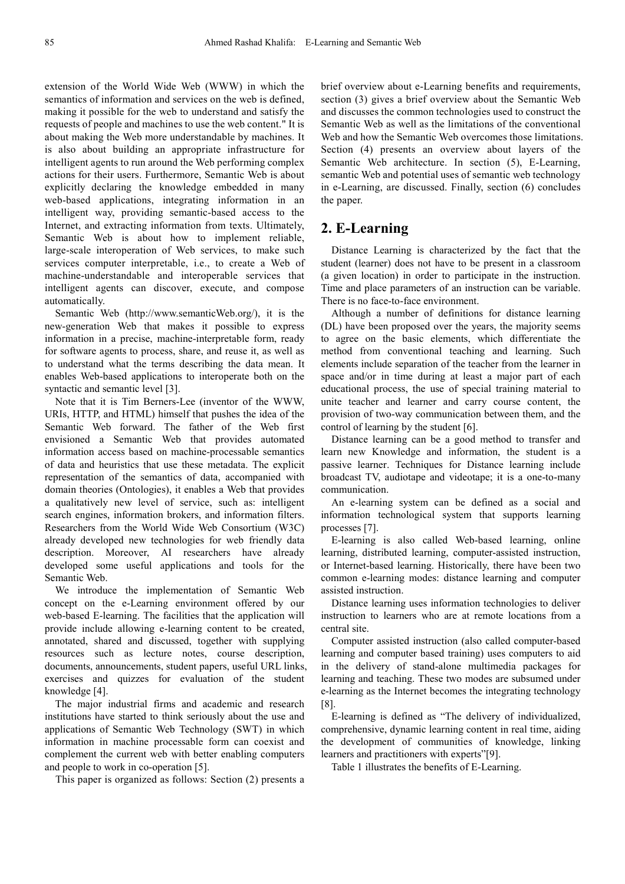extension of the World Wide Web (WWW) in which the semantics of information and services on the web is defined, making it possible for the web to understand and satisfy the requests of people and machines to use the web content." It is about making the Web more understandable by machines. It is also about building an appropriate infrastructure for intelligent agents to run around the Web performing complex actions for their users. Furthermore, Semantic Web is about explicitly declaring the knowledge embedded in many web-based applications, integrating information in an intelligent way, providing semantic-based access to the Internet, and extracting information from texts. Ultimately, Semantic Web is about how to implement reliable, large-scale interoperation of Web services, to make such services computer interpretable, i.e., to create a Web of machine-understandable and interoperable services that intelligent agents can discover, execute, and compose automatically.

Semantic Web (http://www.semanticWeb.org/), it is the new-generation Web that makes it possible to express information in a precise, machine-interpretable form, ready for software agents to process, share, and reuse it, as well as to understand what the terms describing the data mean. It enables Web-based applications to interoperate both on the syntactic and semantic level [3].

Note that it is Tim Berners-Lee (inventor of the WWW, URIs, HTTP, and HTML) himself that pushes the idea of the Semantic Web forward. The father of the Web first envisioned a Semantic Web that provides automated information access based on machine-processable semantics of data and heuristics that use these metadata. The explicit representation of the semantics of data, accompanied with domain theories (Ontologies), it enables a Web that provides a qualitatively new level of service, such as: intelligent search engines, information brokers, and information filters. Researchers from the World Wide Web Consortium (W3C) already developed new technologies for web friendly data description. Moreover, AI researchers have already developed some useful applications and tools for the Semantic Web.

We introduce the implementation of Semantic Web concept on the e-Learning environment offered by our web-based E-learning. The facilities that the application will provide include allowing e-learning content to be created, annotated, shared and discussed, together with supplying resources such as lecture notes, course description, documents, announcements, student papers, useful URL links, exercises and quizzes for evaluation of the student knowledge [4].

The major industrial firms and academic and research institutions have started to think seriously about the use and applications of Semantic Web Technology (SWT) in which information in machine processable form can coexist and complement the current web with better enabling computers and people to work in co-operation [5].

This paper is organized as follows: Section (2) presents a

brief overview about e-Learning benefits and requirements, section (3) gives a brief overview about the Semantic Web and discusses the common technologies used to construct the Semantic Web as well as the limitations of the conventional Web and how the Semantic Web overcomes those limitations. Section (4) presents an overview about layers of the Semantic Web architecture. In section (5), E-Learning, semantic Web and potential uses of semantic web technology in e-Learning, are discussed. Finally, section (6) concludes the paper.

# **2. E-Learning**

Distance Learning is characterized by the fact that the student (learner) does not have to be present in a classroom (a given location) in order to participate in the instruction. Time and place parameters of an instruction can be variable. There is no face-to-face environment.

Although a number of definitions for distance learning (DL) have been proposed over the years, the majority seems to agree on the basic elements, which differentiate the method from conventional teaching and learning. Such elements include separation of the teacher from the learner in space and/or in time during at least a major part of each educational process, the use of special training material to unite teacher and learner and carry course content, the provision of two-way communication between them, and the control of learning by the student [6].

Distance learning can be a good method to transfer and learn new Knowledge and information, the student is a passive learner. Techniques for Distance learning include broadcast TV, audiotape and videotape; it is a one-to-many communication.

An e-learning system can be defined as a social and information technological system that supports learning processes [7].

E-learning is also called Web-based learning, online learning, distributed learning, computer-assisted instruction, or Internet-based learning. Historically, there have been two common e-learning modes: distance learning and computer assisted instruction.

Distance learning uses information technologies to deliver instruction to learners who are at remote locations from a central site.

Computer assisted instruction (also called computer-based learning and computer based training) uses computers to aid in the delivery of stand-alone multimedia packages for learning and teaching. These two modes are subsumed under e-learning as the Internet becomes the integrating technology [8].

E-learning is defined as "The delivery of individualized, comprehensive, dynamic learning content in real time, aiding the development of communities of knowledge, linking learners and practitioners with experts"[9].

Table 1 illustrates the benefits of E-Learning.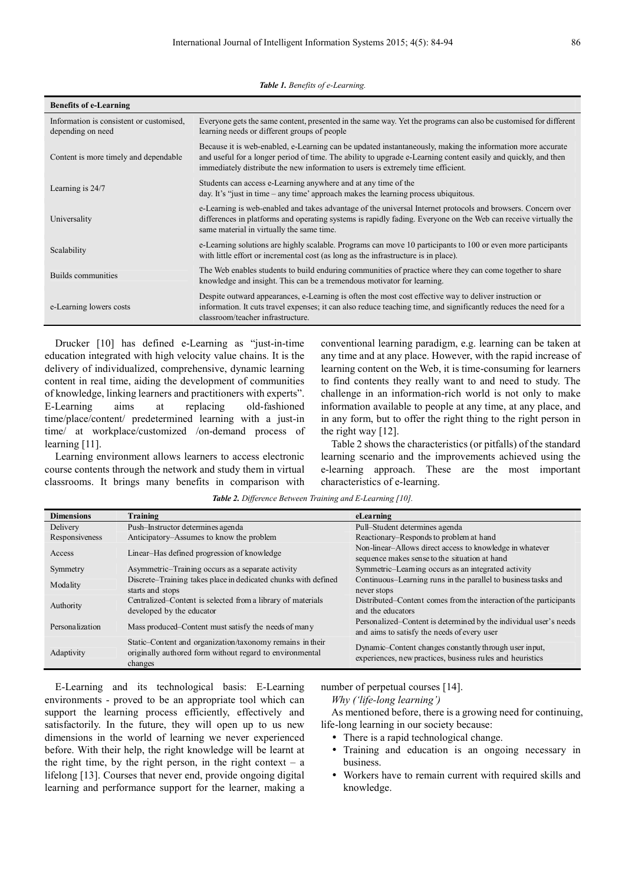*Table 1. Benefits of e-Learning.* 

| <b>Benefits of e-Learning</b>                                 |                                                                                                                                                                                                                                                                                                                  |  |  |
|---------------------------------------------------------------|------------------------------------------------------------------------------------------------------------------------------------------------------------------------------------------------------------------------------------------------------------------------------------------------------------------|--|--|
| Information is consistent or customised.<br>depending on need | Everyone gets the same content, presented in the same way. Yet the programs can also be customised for different<br>learning needs or different groups of people                                                                                                                                                 |  |  |
| Content is more timely and dependable                         | Because it is web-enabled, e-Learning can be updated instantaneously, making the information more accurate<br>and useful for a longer period of time. The ability to upgrade e-Learning content easily and quickly, and then<br>immediately distribute the new information to users is extremely time efficient. |  |  |
| Learning is 24/7                                              | Students can access e-Learning anywhere and at any time of the<br>day. It's "just in time – any time" approach makes the learning process ubiquitous.                                                                                                                                                            |  |  |
| Universality                                                  | e-Learning is web-enabled and takes advantage of the universal Internet protocols and browsers. Concern over<br>differences in platforms and operating systems is rapidly fading. Everyone on the Web can receive virtually the<br>same material in virtually the same time.                                     |  |  |
| Scalability                                                   | e-Learning solutions are highly scalable. Programs can move 10 participants to 100 or even more participants<br>with little effort or incremental cost (as long as the infrastructure is in place).                                                                                                              |  |  |
| Builds communities                                            | The Web enables students to build enduring communities of practice where they can come together to share<br>knowledge and insight. This can be a tremendous motivator for learning.                                                                                                                              |  |  |
| e-Learning lowers costs                                       | Despite outward appearances, e-Learning is often the most cost effective way to deliver instruction or<br>information. It cuts travel expenses; it can also reduce teaching time, and significantly reduces the need for a<br>classroom/teacher infrastructure.                                                  |  |  |

Drucker [10] has defined e-Learning as "just-in-time education integrated with high velocity value chains. It is the delivery of individualized, comprehensive, dynamic learning content in real time, aiding the development of communities of knowledge, linking learners and practitioners with experts". E-Learning aims at replacing old-fashioned time/place/content/ predetermined learning with a just-in time/ at workplace/customized /on-demand process of learning [11].

Learning environment allows learners to access electronic course contents through the network and study them in virtual classrooms. It brings many benefits in comparison with conventional learning paradigm, e.g. learning can be taken at any time and at any place. However, with the rapid increase of learning content on the Web, it is time-consuming for learners to find contents they really want to and need to study. The challenge in an information-rich world is not only to make information available to people at any time, at any place, and in any form, but to offer the right thing to the right person in the right way [12].

Table 2 shows the characteristics (or pitfalls) of the standard learning scenario and the improvements achieved using the e-learning approach. These are the most important characteristics of e-learning.

| <b>Dimensions</b> | Training                                                                                                                         | eLearning                                                                                                           |
|-------------------|----------------------------------------------------------------------------------------------------------------------------------|---------------------------------------------------------------------------------------------------------------------|
| Delivery          | Push-Instructor determines agenda                                                                                                | Pull-Student determines agenda                                                                                      |
| Responsiveness    | Anticipatory–Assumes to know the problem                                                                                         | Reactionary–Responds to problem at hand                                                                             |
| Access            | Linear–Has defined progression of knowledge                                                                                      | Non-linear-Allows direct access to knowledge in whatever<br>sequence makes sense to the situation at hand           |
| Symmetry          | Asymmetric–Training occurs as a separate activity                                                                                | Symmetric-Learning occurs as an integrated activity                                                                 |
| Modality          | Discrete–Training takes place in dedicated chunks with defined<br>starts and stops                                               | Continuous–Learning runs in the parallel to business tasks and<br>never stops                                       |
| Authority         | Centralized–Content is selected from a library of materials<br>developed by the educator                                         | Distributed–Content comes from the interaction of the participants<br>and the educators                             |
| Personalization   | Mass produced–Content must satisfy the needs of many                                                                             | Personalized–Content is determined by the individual user's needs<br>and aims to satisfy the needs of every user    |
| Adaptivity        | Static–Content and organization/taxonomy remains in their<br>originally authored form without regard to environmental<br>changes | Dynamic–Content changes constantly through user input.<br>experiences, new practices, business rules and heuristics |

*Table 2. Difference Between Training and E-Learning [10].*

E-Learning and its technological basis: E-Learning environments - proved to be an appropriate tool which can support the learning process efficiently, effectively and satisfactorily. In the future, they will open up to us new dimensions in the world of learning we never experienced before. With their help, the right knowledge will be learnt at the right time, by the right person, in the right context – a lifelong [13]. Courses that never end, provide ongoing digital learning and performance support for the learner, making a number of perpetual courses [14].

*Why ('life-long learning')*

As mentioned before, there is a growing need for continuing, life-long learning in our society because:

- There is a rapid technological change.
- Training and education is an ongoing necessary in business.
- Workers have to remain current with required skills and knowledge.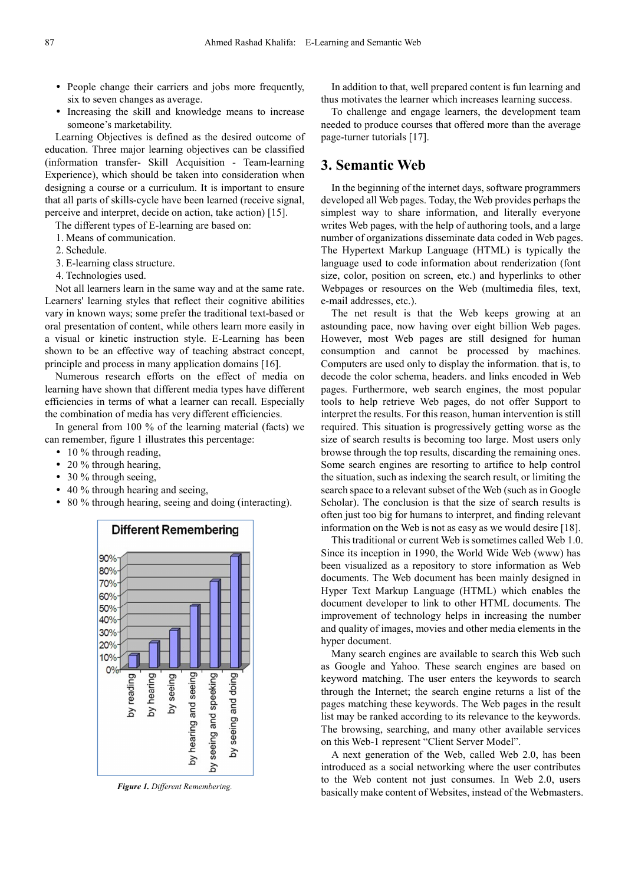- People change their carriers and jobs more frequently, six to seven changes as average.
- Increasing the skill and knowledge means to increase someone's marketability.

Learning Objectives is defined as the desired outcome of education. Three major learning objectives can be classified (information transfer- Skill Acquisition - Team-learning Experience), which should be taken into consideration when designing a course or a curriculum. It is important to ensure that all parts of skills-cycle have been learned (receive signal, perceive and interpret, decide on action, take action) [15].

The different types of E-learning are based on:

- 1. Means of communication.
- 2. Schedule.
- 3. E-learning class structure.
- 4. Technologies used.

Not all learners learn in the same way and at the same rate. Learners' learning styles that reflect their cognitive abilities vary in known ways; some prefer the traditional text-based or oral presentation of content, while others learn more easily in a visual or kinetic instruction style. E-Learning has been shown to be an effective way of teaching abstract concept, principle and process in many application domains [16].

Numerous research efforts on the effect of media on learning have shown that different media types have different efficiencies in terms of what a learner can recall. Especially the combination of media has very different efficiencies.

In general from 100 % of the learning material (facts) we can remember, figure 1 illustrates this percentage:

- 10 % through reading,
- 20 % through hearing,
- 30 % through seeing,
- 40 % through hearing and seeing,
- 80 % through hearing, seeing and doing (interacting).



*Figure 1. Different Remembering.* 

In addition to that, well prepared content is fun learning and thus motivates the learner which increases learning success.

To challenge and engage learners, the development team needed to produce courses that offered more than the average page-turner tutorials [17].

### **3. Semantic Web**

In the beginning of the internet days, software programmers developed all Web pages. Today, the Web provides perhaps the simplest way to share information, and literally everyone writes Web pages, with the help of authoring tools, and a large number of organizations disseminate data coded in Web pages. The Hypertext Markup Language (HTML) is typically the language used to code information about renderization (font size, color, position on screen, etc.) and hyperlinks to other Webpages or resources on the Web (multimedia files, text, e-mail addresses, etc.).

The net result is that the Web keeps growing at an astounding pace, now having over eight billion Web pages. However, most Web pages are still designed for human consumption and cannot be processed by machines. Computers are used only to display the information. that is, to decode the color schema, headers. and links encoded in Web pages. Furthermore, web search engines, the most popular tools to help retrieve Web pages, do not offer Support to interpret the results. For this reason, human intervention is still required. This situation is progressively getting worse as the size of search results is becoming too large. Most users only browse through the top results, discarding the remaining ones. Some search engines are resorting to artifice to help control the situation, such as indexing the search result, or limiting the search space to a relevant subset of the Web (such as in Google Scholar). The conclusion is that the size of search results is often just too big for humans to interpret, and finding relevant information on the Web is not as easy as we would desire [18].

This traditional or current Web is sometimes called Web 1.0. Since its inception in 1990, the World Wide Web (www) has been visualized as a repository to store information as Web documents. The Web document has been mainly designed in Hyper Text Markup Language (HTML) which enables the document developer to link to other HTML documents. The improvement of technology helps in increasing the number and quality of images, movies and other media elements in the hyper document.

Many search engines are available to search this Web such as Google and Yahoo. These search engines are based on keyword matching. The user enters the keywords to search through the Internet; the search engine returns a list of the pages matching these keywords. The Web pages in the result list may be ranked according to its relevance to the keywords. The browsing, searching, and many other available services on this Web-1 represent "Client Server Model".

A next generation of the Web, called Web 2.0, has been introduced as a social networking where the user contributes to the Web content not just consumes. In Web 2.0, users basically make content of Websites, instead of the Webmasters.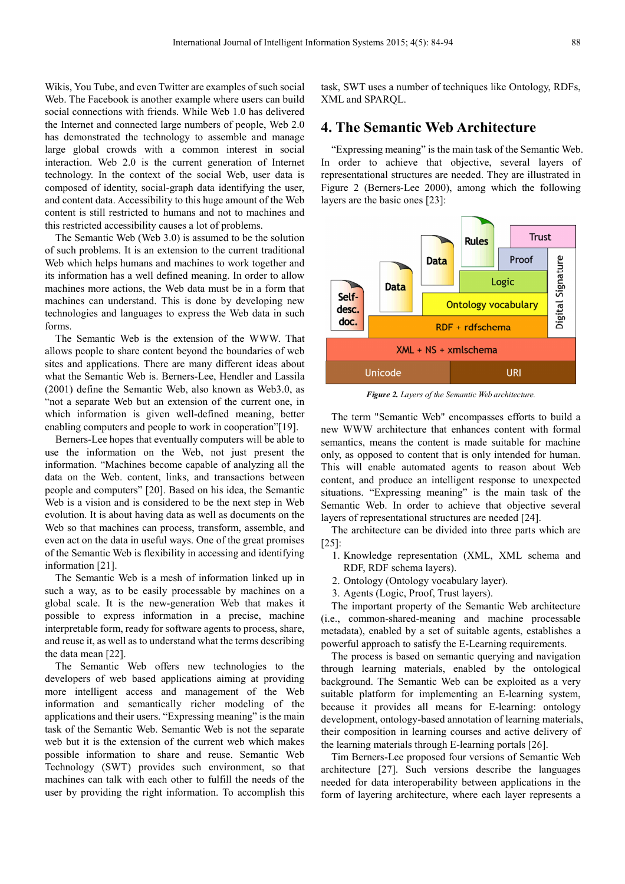Wikis, You Tube, and even Twitter are examples of such social Web. The Facebook is another example where users can build social connections with friends. While Web 1.0 has delivered the Internet and connected large numbers of people, Web 2.0 has demonstrated the technology to assemble and manage large global crowds with a common interest in social interaction. Web 2.0 is the current generation of Internet technology. In the context of the social Web, user data is composed of identity, social-graph data identifying the user, and content data. Accessibility to this huge amount of the Web content is still restricted to humans and not to machines and this restricted accessibility causes a lot of problems.

The Semantic Web (Web 3.0) is assumed to be the solution of such problems. It is an extension to the current traditional Web which helps humans and machines to work together and its information has a well defined meaning. In order to allow machines more actions, the Web data must be in a form that machines can understand. This is done by developing new technologies and languages to express the Web data in such forms.

The Semantic Web is the extension of the WWW. That allows people to share content beyond the boundaries of web sites and applications. There are many different ideas about what the Semantic Web is. Berners-Lee, Hendler and Lassila (2001) define the Semantic Web, also known as Web3.0, as "not a separate Web but an extension of the current one, in which information is given well-defined meaning, better enabling computers and people to work in cooperation"[19].

Berners-Lee hopes that eventually computers will be able to use the information on the Web, not just present the information. "Machines become capable of analyzing all the data on the Web. content, links, and transactions between people and computers" [20]. Based on his idea, the Semantic Web is a vision and is considered to be the next step in Web evolution. It is about having data as well as documents on the Web so that machines can process, transform, assemble, and even act on the data in useful ways. One of the great promises of the Semantic Web is flexibility in accessing and identifying information [21].

The Semantic Web is a mesh of information linked up in such a way, as to be easily processable by machines on a global scale. It is the new-generation Web that makes it possible to express information in a precise, machine interpretable form, ready for software agents to process, share, and reuse it, as well as to understand what the terms describing the data mean [22].

The Semantic Web offers new technologies to the developers of web based applications aiming at providing more intelligent access and management of the Web information and semantically richer modeling of the applications and their users. "Expressing meaning" is the main task of the Semantic Web. Semantic Web is not the separate web but it is the extension of the current web which makes possible information to share and reuse. Semantic Web Technology (SWT) provides such environment, so that machines can talk with each other to fulfill the needs of the user by providing the right information. To accomplish this task, SWT uses a number of techniques like Ontology, RDFs, XML and SPARQL.

## **4. The Semantic Web Architecture**

"Expressing meaning" is the main task of the Semantic Web. In order to achieve that objective, several layers of representational structures are needed. They are illustrated in Figure 2 (Berners-Lee 2000), among which the following layers are the basic ones [23]:



*Figure 2. Layers of the Semantic Web architecture.* 

The term "Semantic Web" encompasses efforts to build a new WWW architecture that enhances content with formal semantics, means the content is made suitable for machine only, as opposed to content that is only intended for human. This will enable automated agents to reason about Web content, and produce an intelligent response to unexpected situations. "Expressing meaning" is the main task of the Semantic Web. In order to achieve that objective several layers of representational structures are needed [24].

The architecture can be divided into three parts which are [25]:

- 1. Knowledge representation (XML, XML schema and RDF, RDF schema layers).
- 2. Ontology (Ontology vocabulary layer).
- 3. Agents (Logic, Proof, Trust layers).

The important property of the Semantic Web architecture (i.e., common-shared-meaning and machine processable metadata), enabled by a set of suitable agents, establishes a powerful approach to satisfy the E-Learning requirements.

The process is based on semantic querying and navigation through learning materials, enabled by the ontological background. The Semantic Web can be exploited as a very suitable platform for implementing an E-learning system, because it provides all means for E-learning: ontology development, ontology-based annotation of learning materials, their composition in learning courses and active delivery of the learning materials through E-learning portals [26].

Tim Berners-Lee proposed four versions of Semantic Web architecture [27]. Such versions describe the languages needed for data interoperability between applications in the form of layering architecture, where each layer represents a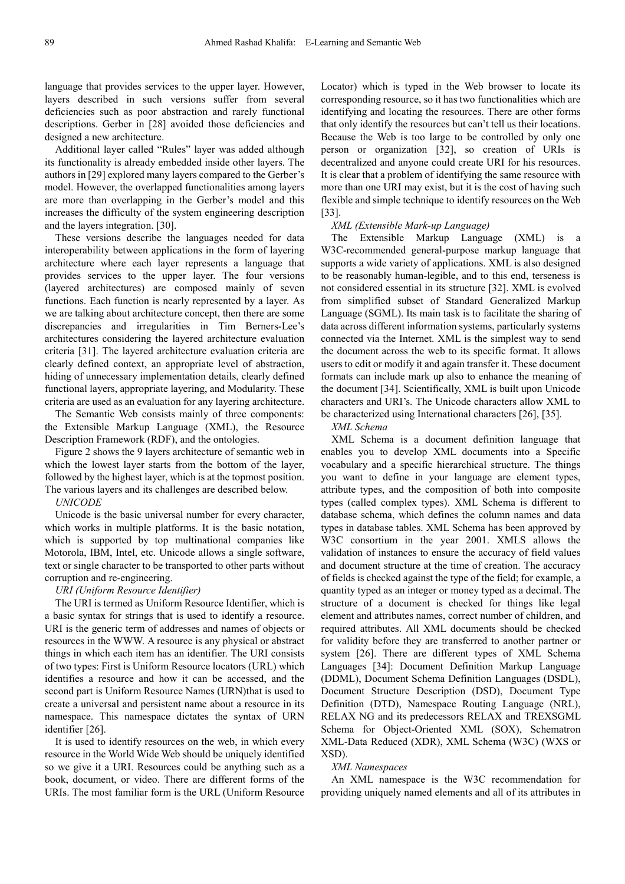language that provides services to the upper layer. However, layers described in such versions suffer from several deficiencies such as poor abstraction and rarely functional descriptions. Gerber in [28] avoided those deficiencies and designed a new architecture.

Additional layer called "Rules" layer was added although its functionality is already embedded inside other layers. The authors in [29] explored many layers compared to the Gerber's model. However, the overlapped functionalities among layers are more than overlapping in the Gerber's model and this increases the difficulty of the system engineering description and the layers integration. [30].

These versions describe the languages needed for data interoperability between applications in the form of layering architecture where each layer represents a language that provides services to the upper layer. The four versions (layered architectures) are composed mainly of seven functions. Each function is nearly represented by a layer. As we are talking about architecture concept, then there are some discrepancies and irregularities in Tim Berners-Lee's architectures considering the layered architecture evaluation criteria [31]. The layered architecture evaluation criteria are clearly defined context, an appropriate level of abstraction, hiding of unnecessary implementation details, clearly defined functional layers, appropriate layering, and Modularity. These criteria are used as an evaluation for any layering architecture.

The Semantic Web consists mainly of three components: the Extensible Markup Language (XML), the Resource Description Framework (RDF), and the ontologies.

Figure 2 shows the 9 layers architecture of semantic web in which the lowest layer starts from the bottom of the layer, followed by the highest layer, which is at the topmost position. The various layers and its challenges are described below.

#### *UNICODE*

Unicode is the basic universal number for every character, which works in multiple platforms. It is the basic notation, which is supported by top multinational companies like Motorola, IBM, Intel, etc. Unicode allows a single software, text or single character to be transported to other parts without corruption and re-engineering.

#### *URI (Uniform Resource Identifier)*

The URI is termed as Uniform Resource Identifier, which is a basic syntax for strings that is used to identify a resource. URI is the generic term of addresses and names of objects or resources in the WWW. A resource is any physical or abstract things in which each item has an identifier. The URI consists of two types: First is Uniform Resource locators (URL) which identifies a resource and how it can be accessed, and the second part is Uniform Resource Names (URN)that is used to create a universal and persistent name about a resource in its namespace. This namespace dictates the syntax of URN identifier [26].

It is used to identify resources on the web, in which every resource in the World Wide Web should be uniquely identified so we give it a URI. Resources could be anything such as a book, document, or video. There are different forms of the URIs. The most familiar form is the URL (Uniform Resource

Locator) which is typed in the Web browser to locate its corresponding resource, so it has two functionalities which are identifying and locating the resources. There are other forms that only identify the resources but can't tell us their locations. Because the Web is too large to be controlled by only one person or organization [32], so creation of URIs is decentralized and anyone could create URI for his resources. It is clear that a problem of identifying the same resource with more than one URI may exist, but it is the cost of having such flexible and simple technique to identify resources on the Web [33].

#### *XML (Extensible Mark-up Language)*

The Extensible Markup Language (XML) is a W3C-recommended general-purpose markup language that supports a wide variety of applications. XML is also designed to be reasonably human-legible, and to this end, terseness is not considered essential in its structure [32]. XML is evolved from simplified subset of Standard Generalized Markup Language (SGML). Its main task is to facilitate the sharing of data across different information systems, particularly systems connected via the Internet. XML is the simplest way to send the document across the web to its specific format. It allows users to edit or modify it and again transfer it. These document formats can include mark up also to enhance the meaning of the document [34]. Scientifically, XML is built upon Unicode characters and URI's. The Unicode characters allow XML to be characterized using International characters [26], [35].

#### *XML Schema*

XML Schema is a document definition language that enables you to develop XML documents into a Specific vocabulary and a specific hierarchical structure. The things you want to define in your language are element types, attribute types, and the composition of both into composite types (called complex types). XML Schema is different to database schema, which defines the column names and data types in database tables. XML Schema has been approved by W3C consortium in the year 2001. XMLS allows the validation of instances to ensure the accuracy of field values and document structure at the time of creation. The accuracy of fields is checked against the type of the field; for example, a quantity typed as an integer or money typed as a decimal. The structure of a document is checked for things like legal element and attributes names, correct number of children, and required attributes. All XML documents should be checked for validity before they are transferred to another partner or system [26]. There are different types of XML Schema Languages [34]: Document Definition Markup Language (DDML), Document Schema Definition Languages (DSDL), Document Structure Description (DSD), Document Type Definition (DTD), Namespace Routing Language (NRL), RELAX NG and its predecessors RELAX and TREXSGML Schema for Object-Oriented XML (SOX), Schematron XML-Data Reduced (XDR), XML Schema (W3C) (WXS or XSD).

#### *XML Namespaces*

An XML namespace is the W3C recommendation for providing uniquely named elements and all of its attributes in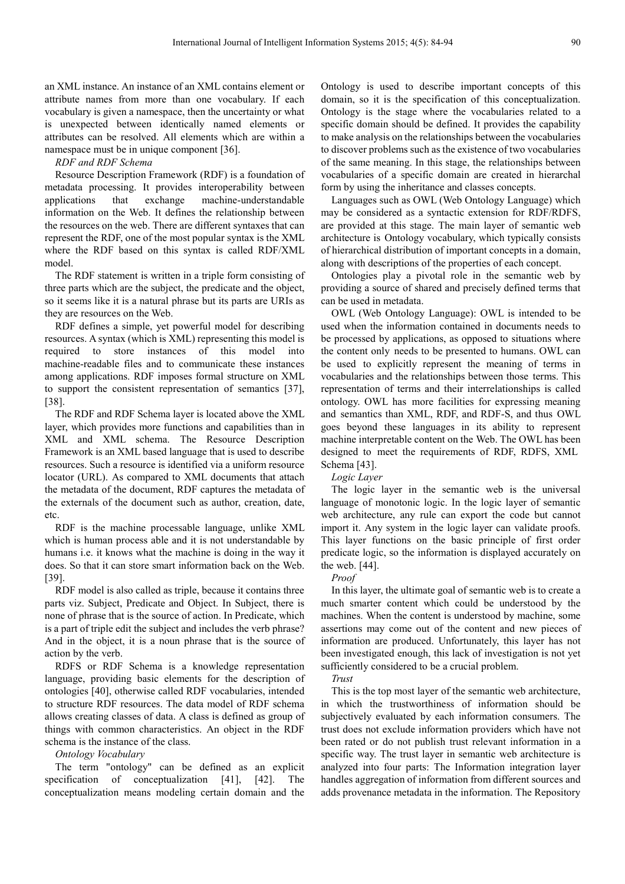an XML instance. An instance of an XML contains element or attribute names from more than one vocabulary. If each vocabulary is given a namespace, then the uncertainty or what is unexpected between identically named elements or attributes can be resolved. All elements which are within a namespace must be in unique component [36].

#### *RDF and RDF Schema*

Resource Description Framework (RDF) is a foundation of metadata processing. It provides interoperability between applications that exchange machine-understandable information on the Web. It defines the relationship between the resources on the web. There are different syntaxes that can represent the RDF, one of the most popular syntax is the XML where the RDF based on this syntax is called RDF/XML model.

The RDF statement is written in a triple form consisting of three parts which are the subject, the predicate and the object, so it seems like it is a natural phrase but its parts are URIs as they are resources on the Web.

RDF defines a simple, yet powerful model for describing resources. A syntax (which is XML) representing this model is required to store instances of this model into machine-readable files and to communicate these instances among applications. RDF imposes formal structure on XML to support the consistent representation of semantics [37], [38].

The RDF and RDF Schema layer is located above the XML layer, which provides more functions and capabilities than in XML and XML schema. The Resource Description Framework is an XML based language that is used to describe resources. Such a resource is identified via a uniform resource locator (URL). As compared to XML documents that attach the metadata of the document, RDF captures the metadata of the externals of the document such as author, creation, date, etc.

RDF is the machine processable language, unlike XML which is human process able and it is not understandable by humans i.e. it knows what the machine is doing in the way it does. So that it can store smart information back on the Web. [39].

RDF model is also called as triple, because it contains three parts viz. Subject, Predicate and Object. In Subject, there is none of phrase that is the source of action. In Predicate, which is a part of triple edit the subject and includes the verb phrase? And in the object, it is a noun phrase that is the source of action by the verb.

RDFS or RDF Schema is a knowledge representation language, providing basic elements for the description of ontologies [40], otherwise called RDF vocabularies, intended to structure RDF resources. The data model of RDF schema allows creating classes of data. A class is defined as group of things with common characteristics. An object in the RDF schema is the instance of the class.

*Ontology Vocabulary* 

The term "ontology" can be defined as an explicit specification of conceptualization [41], [42]. The conceptualization means modeling certain domain and the

Ontology is used to describe important concepts of this domain, so it is the specification of this conceptualization. Ontology is the stage where the vocabularies related to a specific domain should be defined. It provides the capability to make analysis on the relationships between the vocabularies to discover problems such as the existence of two vocabularies of the same meaning. In this stage, the relationships between vocabularies of a specific domain are created in hierarchal form by using the inheritance and classes concepts.

Languages such as OWL (Web Ontology Language) which may be considered as a syntactic extension for RDF/RDFS, are provided at this stage. The main layer of semantic web architecture is Ontology vocabulary, which typically consists of hierarchical distribution of important concepts in a domain, along with descriptions of the properties of each concept.

Ontologies play a pivotal role in the semantic web by providing a source of shared and precisely defined terms that can be used in metadata.

OWL (Web Ontology Language): OWL is intended to be used when the information contained in documents needs to be processed by applications, as opposed to situations where the content only needs to be presented to humans. OWL can be used to explicitly represent the meaning of terms in vocabularies and the relationships between those terms. This representation of terms and their interrelationships is called ontology. OWL has more facilities for expressing meaning and semantics than XML, RDF, and RDF-S, and thus OWL goes beyond these languages in its ability to represent machine interpretable content on the Web. The OWL has been designed to meet the requirements of RDF, RDFS, XML Schema [43].

*Logic Layer* 

The logic layer in the semantic web is the universal language of monotonic logic. In the logic layer of semantic web architecture, any rule can export the code but cannot import it. Any system in the logic layer can validate proofs. This layer functions on the basic principle of first order predicate logic, so the information is displayed accurately on the web. [44].

*Proof* 

In this layer, the ultimate goal of semantic web is to create a much smarter content which could be understood by the machines. When the content is understood by machine, some assertions may come out of the content and new pieces of information are produced. Unfortunately, this layer has not been investigated enough, this lack of investigation is not yet sufficiently considered to be a crucial problem.

*Trust* 

This is the top most layer of the semantic web architecture, in which the trustworthiness of information should be subjectively evaluated by each information consumers. The trust does not exclude information providers which have not been rated or do not publish trust relevant information in a specific way. The trust layer in semantic web architecture is analyzed into four parts: The Information integration layer handles aggregation of information from different sources and adds provenance metadata in the information. The Repository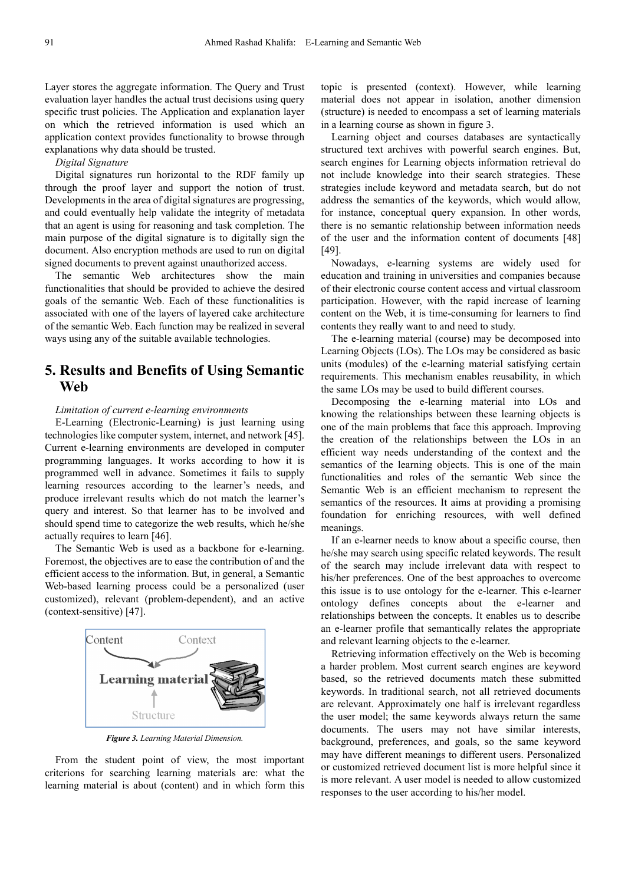Layer stores the aggregate information. The Query and Trust evaluation layer handles the actual trust decisions using query specific trust policies. The Application and explanation layer on which the retrieved information is used which an application context provides functionality to browse through explanations why data should be trusted.

#### *Digital Signature*

Digital signatures run horizontal to the RDF family up through the proof layer and support the notion of trust. Developments in the area of digital signatures are progressing, and could eventually help validate the integrity of metadata that an agent is using for reasoning and task completion. The main purpose of the digital signature is to digitally sign the document. Also encryption methods are used to run on digital signed documents to prevent against unauthorized access.

The semantic Web architectures show the main functionalities that should be provided to achieve the desired goals of the semantic Web. Each of these functionalities is associated with one of the layers of layered cake architecture of the semantic Web. Each function may be realized in several ways using any of the suitable available technologies.

# **5. Results and Benefits of Using Semantic Web**

#### *Limitation of current e-learning environments*

E-Learning (Electronic-Learning) is just learning using technologies like computer system, internet, and network [45]. Current e-learning environments are developed in computer programming languages. It works according to how it is programmed well in advance. Sometimes it fails to supply learning resources according to the learner's needs, and produce irrelevant results which do not match the learner's query and interest. So that learner has to be involved and should spend time to categorize the web results, which he/she actually requires to learn [46].

The Semantic Web is used as a backbone for e-learning. Foremost, the objectives are to ease the contribution of and the efficient access to the information. But, in general, a Semantic Web-based learning process could be a personalized (user customized), relevant (problem-dependent), and an active (context-sensitive) [47].



*Figure 3. Learning Material Dimension.*

From the student point of view, the most important criterions for searching learning materials are: what the learning material is about (content) and in which form this topic is presented (context). However, while learning material does not appear in isolation, another dimension (structure) is needed to encompass a set of learning materials in a learning course as shown in figure 3.

Learning object and courses databases are syntactically structured text archives with powerful search engines. But, search engines for Learning objects information retrieval do not include knowledge into their search strategies. These strategies include keyword and metadata search, but do not address the semantics of the keywords, which would allow, for instance, conceptual query expansion. In other words, there is no semantic relationship between information needs of the user and the information content of documents [48] [49].

Nowadays, e-learning systems are widely used for education and training in universities and companies because of their electronic course content access and virtual classroom participation. However, with the rapid increase of learning content on the Web, it is time-consuming for learners to find contents they really want to and need to study.

The e-learning material (course) may be decomposed into Learning Objects (LOs). The LOs may be considered as basic units (modules) of the e-learning material satisfying certain requirements. This mechanism enables reusability, in which the same LOs may be used to build different courses.

Decomposing the e-learning material into LOs and knowing the relationships between these learning objects is one of the main problems that face this approach. Improving the creation of the relationships between the LOs in an efficient way needs understanding of the context and the semantics of the learning objects. This is one of the main functionalities and roles of the semantic Web since the Semantic Web is an efficient mechanism to represent the semantics of the resources. It aims at providing a promising foundation for enriching resources, with well defined meanings.

If an e-learner needs to know about a specific course, then he/she may search using specific related keywords. The result of the search may include irrelevant data with respect to his/her preferences. One of the best approaches to overcome this issue is to use ontology for the e-learner. This e-learner ontology defines concepts about the e-learner and relationships between the concepts. It enables us to describe an e-learner profile that semantically relates the appropriate and relevant learning objects to the e-learner.

Retrieving information effectively on the Web is becoming a harder problem. Most current search engines are keyword based, so the retrieved documents match these submitted keywords. In traditional search, not all retrieved documents are relevant. Approximately one half is irrelevant regardless the user model; the same keywords always return the same documents. The users may not have similar interests, background, preferences, and goals, so the same keyword may have different meanings to different users. Personalized or customized retrieved document list is more helpful since it is more relevant. A user model is needed to allow customized responses to the user according to his/her model.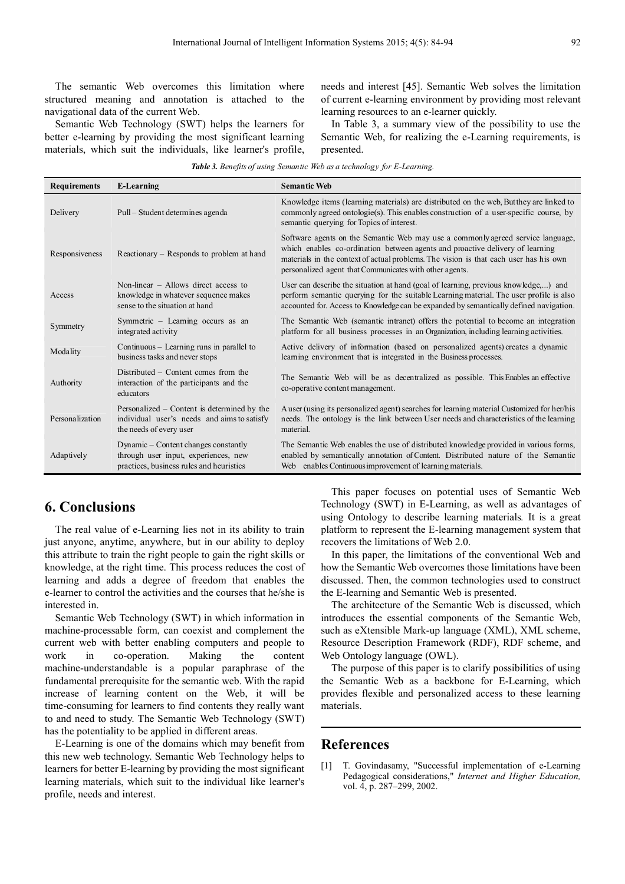The semantic Web overcomes this limitation where structured meaning and annotation is attached to the navigational data of the current Web.

Semantic Web Technology (SWT) helps the learners for better e-learning by providing the most significant learning materials, which suit the individuals, like learner's profile, needs and interest [45]. Semantic Web solves the limitation of current e-learning environment by providing most relevant learning resources to an e-learner quickly.

In Table 3, a summary view of the possibility to use the Semantic Web, for realizing the e-Learning requirements, is presented.

| <b>Table 3.</b> Benefits of using Semantic Web as a technology for E-Learning. |
|--------------------------------------------------------------------------------|
|--------------------------------------------------------------------------------|

| <b>Requirements</b> | <b>E-Learning</b>                                                                                                        | <b>Semantic Web</b>                                                                                                                                                                                                                                                                                                  |
|---------------------|--------------------------------------------------------------------------------------------------------------------------|----------------------------------------------------------------------------------------------------------------------------------------------------------------------------------------------------------------------------------------------------------------------------------------------------------------------|
| Delivery            | Pull – Student determines agenda                                                                                         | Knowledge items (learning materials) are distributed on the web, But they are linked to<br>commonly agreed ontologie(s). This enables construction of a user-specific course, by<br>semantic querying for Topics of interest.                                                                                        |
| Responsiveness      | Reactionary - Responds to problem at hand                                                                                | Software agents on the Semantic Web may use a commonly agreed service language,<br>which enables co-ordination between agents and proactive delivery of learning<br>materials in the context of actual problems. The vision is that each user has his own<br>personalized agent that Communicates with other agents. |
| Access              | Non-linear $-$ Allows direct access to<br>knowledge in whatever sequence makes<br>sense to the situation at hand         | User can describe the situation at hand (goal of learning, previous knowledge,) and<br>perform semantic querying for the suitable Learning material. The user profile is also<br>accounted for. Access to Knowledge can be expanded by semantically defined navigation.                                              |
| Symmetry            | Symmetric - Learning occurs as an<br>integrated activity                                                                 | The Semantic Web (semantic intranet) offers the potential to become an integration<br>platform for all business processes in an Organization, including learning activities.                                                                                                                                         |
| Modality            | Continuous – Learning runs in parallel to<br>business tasks and never stops                                              | Active delivery of information (based on personalized agents) creates a dynamic<br>learning environment that is integrated in the Business processes.                                                                                                                                                                |
| Authority           | Distributed – Content comes from the<br>interaction of the participants and the<br>educators                             | The Semantic Web will be as decentralized as possible. This Enables an effective<br>co-operative content management.                                                                                                                                                                                                 |
| Personalization     | Personalized – Content is determined by the<br>individual user's needs and aims to satisfy<br>the needs of every user    | A user (using its personalized agent) searches for learning material Customized for her/his<br>needs. The ontology is the link between User needs and characteristics of the learning<br>material.                                                                                                                   |
| Adaptively          | Dynamic – Content changes constantly<br>through user input, experiences, new<br>practices, business rules and heuristics | The Semantic Web enables the use of distributed knowledge provided in various forms,<br>enabled by semantically annotation of Content. Distributed nature of the Semantic<br>Web enables Continuous improvement of learning materials.                                                                               |

# **6. Conclusions**

The real value of e-Learning lies not in its ability to train just anyone, anytime, anywhere, but in our ability to deploy this attribute to train the right people to gain the right skills or knowledge, at the right time. This process reduces the cost of learning and adds a degree of freedom that enables the e-learner to control the activities and the courses that he/she is interested in.

Semantic Web Technology (SWT) in which information in machine-processable form, can coexist and complement the current web with better enabling computers and people to work in co-operation. Making the content machine-understandable is a popular paraphrase of the fundamental prerequisite for the semantic web. With the rapid increase of learning content on the Web, it will be time-consuming for learners to find contents they really want to and need to study. The Semantic Web Technology (SWT) has the potentiality to be applied in different areas.

E-Learning is one of the domains which may benefit from this new web technology. Semantic Web Technology helps to learners for better E-learning by providing the most significant learning materials, which suit to the individual like learner's profile, needs and interest.

This paper focuses on potential uses of Semantic Web Technology (SWT) in E-Learning, as well as advantages of using Ontology to describe learning materials*.* It is a great platform to represent the E-learning management system that recovers the limitations of Web 2.0.

In this paper, the limitations of the conventional Web and how the Semantic Web overcomes those limitations have been discussed. Then, the common technologies used to construct the E-learning and Semantic Web is presented.

The architecture of the Semantic Web is discussed, which introduces the essential components of the Semantic Web, such as eXtensible Mark-up language (XML), XML scheme, Resource Description Framework (RDF), RDF scheme, and Web Ontology language (OWL).

The purpose of this paper is to clarify possibilities of using the Semantic Web as a backbone for E-Learning, which provides flexible and personalized access to these learning materials.

### **References**

[1] T. Govindasamy, "Successful implementation of e-Learning Pedagogical considerations," *Internet and Higher Education,*  vol. 4, p. 287–299, 2002.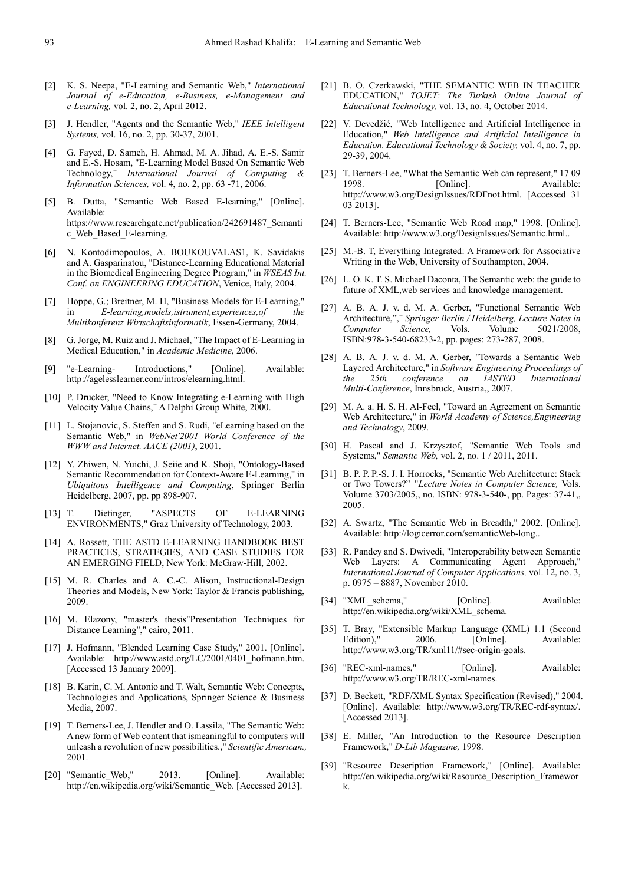- [2] K. S. Neepa, "E-Learning and Semantic Web," *International Journal of e-Education, e-Business, e-Management and e-Learning,* vol. 2, no. 2, April 2012.
- [3] J. Hendler, "Agents and the Semantic Web," *IEEE Intelligent Systems,* vol. 16, no. 2, pp. 30-37, 2001.
- [4] G. Fayed, D. Sameh, H. Ahmad, M. A. Jihad, A. E.-S. Samir and E.-S. Hosam, "E-Learning Model Based On Semantic Web Technology," *International Journal of Computing & Information Sciences,* vol. 4, no. 2, pp. 63 -71, 2006.
- [5] B. Dutta, "Semantic Web Based E-learning," [Online]. Available: https://www.researchgate.net/publication/242691487\_Semanti c\_Web\_Based\_E-learning.
- [6] N. Kontodimopoulos, A. BOUKOUVALAS1, K. Savidakis and A. Gasparinatou, "Distance-Learning Educational Material in the Biomedical Engineering Degree Program," in *WSEAS Int. Conf. on ENGINEERING EDUCATION*, Venice, Italy, 2004.
- [7] Hoppe, G.; Breitner, M. H, "Business Models for E-Learning," in *E-learning,models,istrument,experiences,of the Multikonferenz Wirtschaftsinformatik*, Essen-Germany, 2004.
- [8] G. Jorge, M. Ruiz and J. Michael, "The Impact of E-Learning in Medical Education," in *Academic Medicine*, 2006.
- [9] "e-Learning- Introductions," [Online]. Available: http://agelesslearner.com/intros/elearning.html.
- [10] P. Drucker, "Need to Know Integrating e-Learning with High Velocity Value Chains," A Delphi Group White, 2000.
- [11] L. Stojanovic, S. Steffen and S. Rudi, "eLearning based on the Semantic Web," in *WebNet'2001 World Conference of the WWW and Internet. AACE (2001)*, 2001.
- [12] Y. Zhiwen, N. Yuichi, J. Seiie and K. Shoji, "Ontology-Based Semantic Recommendation for Context-Aware E-Learning," in *Ubiquitous Intelligence and Computing*, Springer Berlin Heidelberg, 2007, pp. pp 898-907.
- [13] T. Dietinger, "ASPECTS OF E-LEARNING ENVIRONMENTS," Graz University of Technology, 2003.
- [14] A. Rossett, THE ASTD E-LEARNING HANDBOOK BEST PRACTICES, STRATEGIES, AND CASE STUDIES FOR AN EMERGING FIELD, New York: McGraw-Hill, 2002.
- [15] M. R. Charles and A. C.-C. Alison, Instructional-Design Theories and Models, New York: Taylor & Francis publishing, 2009.
- [16] M. Elazony, "master's thesis"Presentation Techniques for Distance Learning"," cairo, 2011.
- [17] J. Hofmann, "Blended Learning Case Study," 2001. [Online]. Available: http://www.astd.org/LC/2001/0401\_hofmann.htm. [Accessed 13 January 2009].
- [18] B. Karin, C. M. Antonio and T. Walt, Semantic Web: Concepts, Technologies and Applications, Springer Science & Business Media, 2007.
- [19] T. Berners-Lee, J. Hendler and O. Lassila, "The Semantic Web: A new form of Web content that ismeaningful to computers will unleash a revolution of new possibilities.," *Scientific American.,*  2001.
- [20] "Semantic Web," 2013. [Online]. Available: http://en.wikipedia.org/wiki/Semantic\_Web. [Accessed 2013].
- [21] B. Ö. Czerkawski, "THE SEMANTIC WEB IN TEACHER EDUCATION," *TOJET: The Turkish Online Journal of Educational Technology,* vol. 13, no. 4, October 2014.
- [22] V. Devedžić, "Web Intelligence and Artificial Intelligence in Education," *Web Intelligence and Artificial Intelligence in Education. Educational Technology & Society,* vol. 4, no. 7, pp. 29-39, 2004.
- [23] T. Berners-Lee, "What the Semantic Web can represent," 17 09 1998. [Online]. Available: http://www.w3.org/DesignIssues/RDFnot.html. [Accessed 31 03 2013].
- [24] T. Berners-Lee, "Semantic Web Road map," 1998. [Online]. Available: http://www.w3.org/DesignIssues/Semantic.html..
- [25] M.-B. T, Everything Integrated: A Framework for Associative Writing in the Web, University of Southampton, 2004.
- [26] L. O. K. T. S. Michael Daconta, The Semantic web: the guide to future of XML,web services and knowledge management.
- [27] A. B. A. J. v. d. M. A. Gerber, "Functional Semantic Web Architecture,"," *Springer Berlin / Heidelberg, Lecture Notes in Computer Science,* Vols. Volume 5021/2008, ISBN:978-3-540-68233-2, pp. pages: 273-287, 2008.
- [28] A. B. A. J. v. d. M. A. Gerber, "Towards a Semantic Web Layered Architecture," in *Software Engineering Proceedings of the 25th conference on IASTED International Multi-Conference*, Innsbruck, Austria,, 2007.
- [29] M. A. a. H. S. H. Al-Feel, "Toward an Agreement on Semantic Web Architecture," in *World Academy of Science,Engineering and Technology*, 2009.
- [30] H. Pascal and J. Krzysztof, "Semantic Web Tools and Systems," *Semantic Web,* vol. 2, no. 1 / 2011, 2011.
- [31] B. P. P. P.-S. J. I. Horrocks, "Semantic Web Architecture: Stack or Two Towers?" "*Lecture Notes in Computer Science,* Vols. Volume 3703/2005,, no. ISBN: 978-3-540-, pp. Pages: 37-41,, 2005.
- [32] A. Swartz, "The Semantic Web in Breadth," 2002. [Online]. Available: http://logicerror.com/semanticWeb-long..
- [33] R. Pandey and S. Dwivedi, "Interoperability between Semantic Web Layers: A Communicating Agent Approach," *International Journal of Computer Applications,* vol. 12, no. 3, p. 0975 – 8887, November 2010.
- [34] "XML schema," [Online]. Available: http://en.wikipedia.org/wiki/XML\_schema.
- [35] T. Bray, "Extensible Markup Language (XML) 1.1 (Second 2006. [Online]. Available: http://www.w3.org/TR/xml11/#sec-origin-goals.
- [36] "REC-xml-names," [Online]. Available: http://www.w3.org/TR/REC-xml-names.
- [37] D. Beckett, "RDF/XML Syntax Specification (Revised)," 2004. [Online]. Available: http://www.w3.org/TR/REC-rdf-syntax/. [Accessed 2013].
- [38] E. Miller, "An Introduction to the Resource Description Framework," *D-Lib Magazine,* 1998.
- [39] "Resource Description Framework," [Online]. Available: http://en.wikipedia.org/wiki/Resource\_Description\_Framewor k.